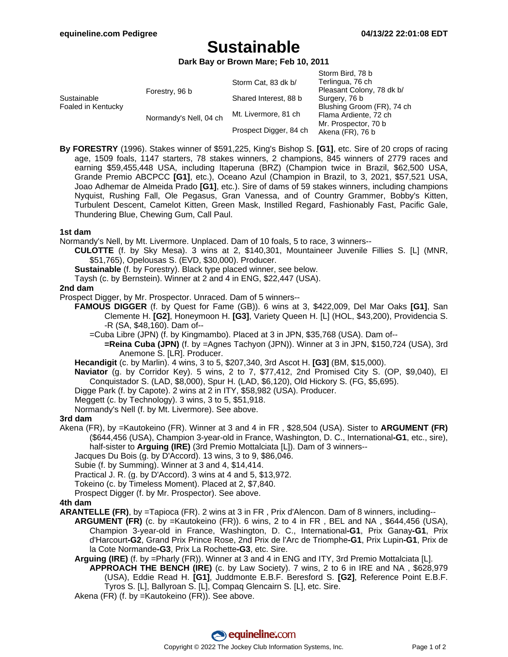# **Sustainable**

**Dark Bay or Brown Mare; Feb 10, 2011**

|                                   |                        | Storm Cat, 83 dk b/    | Storm Bird, 78 b<br>Terlingua, 76 ch     |
|-----------------------------------|------------------------|------------------------|------------------------------------------|
| Sustainable<br>Foaled in Kentucky | Forestry, 96 b         |                        | Pleasant Colony, 78 dk b/                |
|                                   |                        | Shared Interest, 88 b  | Surgery, 76 b                            |
|                                   | Normandy's Nell, 04 ch | Mt. Livermore, 81 ch   | Blushing Groom (FR), 74 ch               |
|                                   |                        |                        | Flama Ardiente, 72 ch                    |
|                                   |                        | Prospect Digger, 84 ch | Mr. Prospector, 70 b<br>Akena (FR), 76 b |

**By FORESTRY** (1996). Stakes winner of \$591,225, King's Bishop S. **[G1]**, etc. Sire of 20 crops of racing age, 1509 foals, 1147 starters, 78 stakes winners, 2 champions, 845 winners of 2779 races and earning \$59,455,448 USA, including Itaperuna (BRZ) (Champion twice in Brazil, \$62,500 USA, Grande Premio ABCPCC **[G1]**, etc.), Oceano Azul (Champion in Brazil, to 3, 2021, \$57,521 USA, Joao Adhemar de Almeida Prado **[G1]**, etc.). Sire of dams of 59 stakes winners, including champions Nyquist, Rushing Fall, Ole Pegasus, Gran Vanessa, and of Country Grammer, Bobby's Kitten, Turbulent Descent, Camelot Kitten, Green Mask, Instilled Regard, Fashionably Fast, Pacific Gale, Thundering Blue, Chewing Gum, Call Paul.

#### **1st dam**

Normandy's Nell, by Mt. Livermore. Unplaced. Dam of 10 foals, 5 to race, 3 winners--

- **CULOTTE** (f. by Sky Mesa). 3 wins at 2, \$140,301, Mountaineer Juvenile Fillies S. [L] (MNR, \$51,765), Opelousas S. (EVD, \$30,000). Producer.
- **Sustainable** (f. by Forestry). Black type placed winner, see below.
- Taysh (c. by Bernstein). Winner at 2 and 4 in ENG, \$22,447 (USA).

#### **2nd dam**

Prospect Digger, by Mr. Prospector. Unraced. Dam of 5 winners--

**FAMOUS DIGGER** (f. by Quest for Fame (GB)). 6 wins at 3, \$422,009, Del Mar Oaks **[G1]**, San Clemente H. **[G2]**, Honeymoon H. **[G3]**, Variety Queen H. [L] (HOL, \$43,200), Providencia S. -R (SA, \$48,160). Dam of--

=Cuba Libre (JPN) (f. by Kingmambo). Placed at 3 in JPN, \$35,768 (USA). Dam of--

**=Reina Cuba (JPN)** (f. by =Agnes Tachyon (JPN)). Winner at 3 in JPN, \$150,724 (USA), 3rd Anemone S. [LR]. Producer.

**Hecandigit** (c. by Marlin). 4 wins, 3 to 5, \$207,340, 3rd Ascot H. **[G3]** (BM, \$15,000).

**Naviator** (g. by Corridor Key). 5 wins, 2 to 7, \$77,412, 2nd Promised City S. (OP, \$9,040), El Conquistador S. (LAD, \$8,000), Spur H. (LAD, \$6,120), Old Hickory S. (FG, \$5,695).

Digge Park (f. by Capote). 2 wins at 2 in ITY, \$58,982 (USA). Producer.

Meggett (c. by Technology). 3 wins, 3 to 5, \$51,918.

Normandy's Nell (f. by Mt. Livermore). See above.

#### **3rd dam**

Akena (FR), by =Kautokeino (FR). Winner at 3 and 4 in FR , \$28,504 (USA). Sister to **ARGUMENT (FR)** (\$644,456 (USA), Champion 3-year-old in France, Washington, D. C., International**-G1**, etc., sire), half-sister to **Arguing (IRE)** (3rd Premio Mottalciata [L]). Dam of 3 winners--

Jacques Du Bois (g. by D'Accord). 13 wins, 3 to 9, \$86,046.

Subie (f. by Summing). Winner at 3 and 4, \$14,414.

Practical J. R. (g. by D'Accord). 3 wins at 4 and 5, \$13,972.

Tokeino (c. by Timeless Moment). Placed at 2, \$7,840.

Prospect Digger (f. by Mr. Prospector). See above.

#### **4th dam**

**ARANTELLE (FR)**, by =Tapioca (FR). 2 wins at 3 in FR , Prix d'Alencon. Dam of 8 winners, including--

- **ARGUMENT (FR)** (c. by =Kautokeino (FR)). 6 wins, 2 to 4 in FR , BEL and NA , \$644,456 (USA), Champion 3-year-old in France, Washington, D. C., International**-G1**, Prix Ganay**-G1**, Prix d'Harcourt**-G2**, Grand Prix Prince Rose, 2nd Prix de l'Arc de Triomphe**-G1**, Prix Lupin**-G1**, Prix de la Cote Normande**-G3**, Prix La Rochette**-G3**, etc. Sire.
	- **Arguing (IRE)** (f. by =Pharly (FR)). Winner at 3 and 4 in ENG and ITY, 3rd Premio Mottalciata [L]. **APPROACH THE BENCH (IRE)** (c. by Law Society). 7 wins, 2 to 6 in IRE and NA , \$628,979 (USA), Eddie Read H. **[G1]**, Juddmonte E.B.F. Beresford S. **[G2]**, Reference Point E.B.F. Tyros S. [L], Ballyroan S. [L], Compaq Glencairn S. [L], etc. Sire.

Akena (FR) (f. by =Kautokeino (FR)). See above.